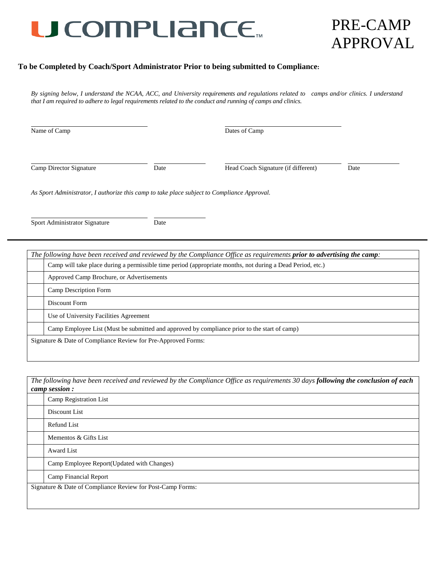## U COMPLIANCE.

## PRE-CAMP APPROVAL

#### **To be Completed by Coach/Sport Administrator Prior to being submitted to Compliance:**

*By signing below, I understand the NCAA, ACC, and University requirements and regulations related to camps and/or clinics. I understand that I am required to adhere to legal requirements related to the conduct and running of camps and clinics.* 

| Name of Camp            |      | Dates of Camp                       |      |  |
|-------------------------|------|-------------------------------------|------|--|
| Camp Director Signature | Date | Head Coach Signature (if different) | Date |  |

*As Sport Administrator, I authorize this camp to take place subject to Compliance Approval.*

Sport Administrator Signature Date

| The following have been received and reviewed by the Compliance Office as requirements <b>prior to advertising the camp</b> : |
|-------------------------------------------------------------------------------------------------------------------------------|
| Camp will take place during a permissible time period (appropriate months, not during a Dead Period, etc.)                    |
| Approved Camp Brochure, or Advertisements                                                                                     |
| Camp Description Form                                                                                                         |
| Discount Form                                                                                                                 |
| Use of University Facilities Agreement                                                                                        |
| Camp Employee List (Must be submitted and approved by compliance prior to the start of camp)                                  |
| Signature & Date of Compliance Review for Pre-Approved Forms:                                                                 |

*The following have been received and reviewed by the Compliance Office as requirements 30 days following the conclusion of each camp session :*

| Camp Registration List                                     |
|------------------------------------------------------------|
| Discount List                                              |
| Refund List                                                |
| Mementos & Gifts List                                      |
| Award List                                                 |
| Camp Employee Report(Updated with Changes)                 |
| <b>Camp Financial Report</b>                               |
| Signature & Date of Compliance Review for Post-Camp Forms: |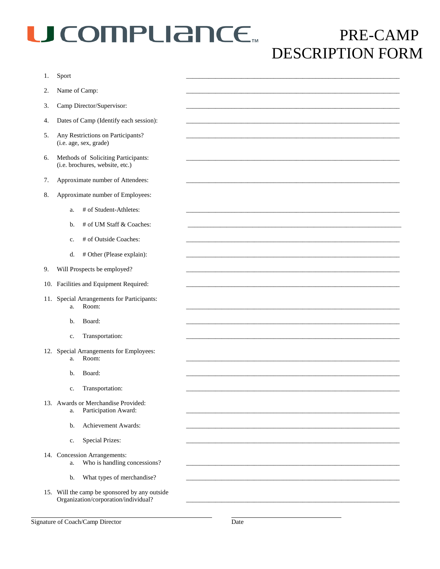# U COMPLIANCE.

## PRE-CAMP DESCRIPTION FORM

| 1.  | Sport                                                                                 |  |
|-----|---------------------------------------------------------------------------------------|--|
| 2.  | Name of Camp:                                                                         |  |
| 3.  | Camp Director/Supervisor:                                                             |  |
| 4.  | Dates of Camp (Identify each session):                                                |  |
| 5.  | Any Restrictions on Participants?<br>(i.e. age, sex, grade)                           |  |
| 6.  | Methods of Soliciting Participants:<br>(i.e. brochures, website, etc.)                |  |
| 7.  | Approximate number of Attendees:                                                      |  |
| 8.  | Approximate number of Employees:                                                      |  |
|     | # of Student-Athletes:<br>a.                                                          |  |
|     | # of UM Staff & Coaches:<br>b.                                                        |  |
|     | # of Outside Coaches:<br>c.                                                           |  |
|     | # Other (Please explain):<br>d.                                                       |  |
| 9.  | Will Prospects be employed?                                                           |  |
| 10. | Facilities and Equipment Required:                                                    |  |
| 11. | Special Arrangements for Participants:<br>Room:<br>a.                                 |  |
|     | Board:<br>b.                                                                          |  |
|     | Transportation:<br>c.                                                                 |  |
| 12. | Special Arrangements for Employees:<br>Room:<br>a.                                    |  |
|     | Board:<br>b.                                                                          |  |
|     | Transportation:<br>$\mathbf{c}.$                                                      |  |
|     | 13. Awards or Merchandise Provided:<br>Participation Award:<br>a.                     |  |
|     | Achievement Awards:<br>b.                                                             |  |
|     | <b>Special Prizes:</b><br>c.                                                          |  |
|     | 14. Concession Arrangements:<br>Who is handling concessions?<br>a.                    |  |
|     | What types of merchandise?<br>b.                                                      |  |
|     | 15. Will the camp be sponsored by any outside<br>Organization/corporation/individual? |  |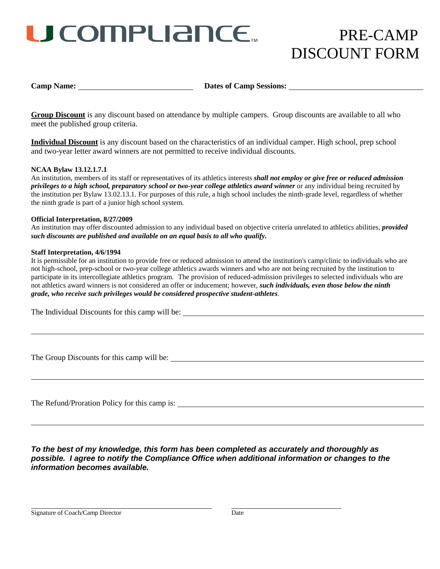# U COMPLIANCE...

### PRE-CAMP DISCOUNT FORM

**Camp Name: Dates of Camp Sessions: Dates of Camp Sessions:** 

**Group Discount** is any discount based on attendance by multiple campers. Group discounts are available to all who meet the published group criteria.

**Individual Discount** is any discount based on the characteristics of an individual camper. High school, prep school and two-year letter award winners are not permitted to receive individual discounts.

#### **NCAA Bylaw 13.12.1.7.1**

An institution, members of its staff or representatives of its athletics interests *shall not employ or give free or reduced admission privileges to a high school, preparatory school or two-year college athletics award winner* or any individual being recruited by the institution per Bylaw 13.02.13.1. For purposes of this rule, a high school includes the ninth-grade level, regardless of whether the ninth grade is part of a junior high school system.

#### **Official Interpretation, 8/27/2009**

An institution may offer discounted admission to any individual based on objective criteria unrelated to athletics abilities, *provided such discounts are published and available on an equal basis to all who qualify.*

#### **Staff Interpretation, 4/6/1994**

It is permissible for an institution to provide free or reduced admission to attend the institution's camp/clinic to individuals who are not high-school, prep-school or two-year college athletics awards winners and who are not being recruited by the institution to participate in its intercollegiate athletics program. The provision of reduced-admission privileges to selected individuals who are not athletics award winners is not considered an offer or inducement; however, *such individuals, even those below the ninth grade, who receive such privileges would be considered prospective student-athletes*.

The Individual Discounts for this camp will be:  $\frac{1}{1}$ 

The Group Discounts for this camp will be:

The Refund/Proration Policy for this camp is:

*To the best of my knowledge, this form has been completed as accurately and thoroughly as possible. I agree to notify the Compliance Office when additional information or changes to the information becomes available.*

Signature of Coach/Camp Director Date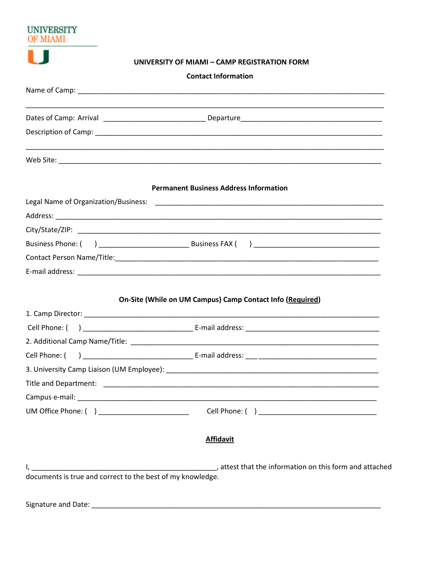| UNIVERSITY    |                                                           |
|---------------|-----------------------------------------------------------|
|               |                                                           |
|               | UNIVERSITY OF MIAMI - CAMP REGISTRATION FORM              |
|               | <b>Contact Information</b>                                |
|               |                                                           |
|               |                                                           |
|               |                                                           |
|               |                                                           |
|               | <b>Permanent Business Address Information</b>             |
|               |                                                           |
|               |                                                           |
|               |                                                           |
|               |                                                           |
|               |                                                           |
|               |                                                           |
|               |                                                           |
|               | On-Site (While on UM Campus) Camp Contact Info (Required) |
|               |                                                           |
|               |                                                           |
|               |                                                           |
| Cell Phone: ( |                                                           |
|               |                                                           |
|               |                                                           |
|               |                                                           |
|               |                                                           |
|               | <b>Affidavit</b>                                          |
|               |                                                           |
|               |                                                           |
|               |                                                           |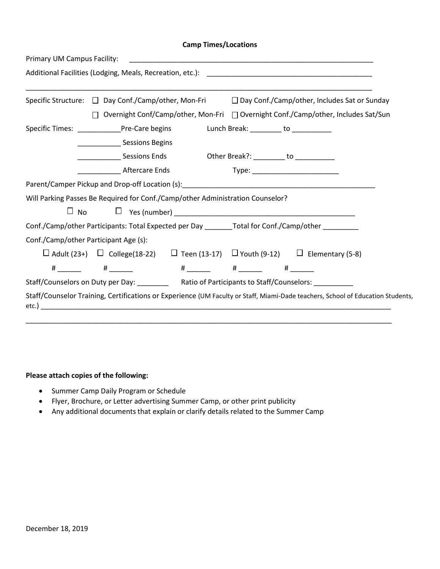### **Camp Times/Locations**

| Primary UM Campus Facility:           |                                                                                                                                 |
|---------------------------------------|---------------------------------------------------------------------------------------------------------------------------------|
|                                       |                                                                                                                                 |
|                                       | Specific Structure: □ Day Conf./Camp/other, Mon-Fri □ Day Conf./Camp/other, Includes Sat or Sunday                              |
|                                       | Overnight Conf/Camp/other, Mon-Fri □ Overnight Conf./Camp/other, Includes Sat/Sun<br>П                                          |
|                                       | Specific Times: ______________Pre-Care begins https://www.blunch Break: ________ to ______________                              |
|                                       | <b>_______________</b> Sessions Begins                                                                                          |
|                                       | ______________________ Sessions Ends       Other Break?: ____________ to _____________                                          |
|                                       | Aftercare Ends                                                                                                                  |
|                                       |                                                                                                                                 |
|                                       | Will Parking Passes Be Required for Conf./Camp/other Administration Counselor?                                                  |
|                                       |                                                                                                                                 |
|                                       | Conf./Camp/other Participants: Total Expected per Day ________Total for Conf./Camp/other _________                              |
| Conf./Camp/other Participant Age (s): |                                                                                                                                 |
|                                       | □ Adult (23+) □ College(18-22) □ Teen (13-17) □ Youth (9-12) □ Elementary (5-8)                                                 |
|                                       |                                                                                                                                 |
|                                       | Staff/Counselors on Duty per Day: ____________ Ratio of Participants to Staff/Counselors: _________                             |
|                                       | Staff/Counselor Training, Certifications or Experience (UM Faculty or Staff, Miami-Dade teachers, School of Education Students, |

#### **Please attach copies of the following:**

- Summer Camp Daily Program or Schedule
- Flyer, Brochure, or Letter advertising Summer Camp, or other print publicity
- Any additional documents that explain or clarify details related to the Summer Camp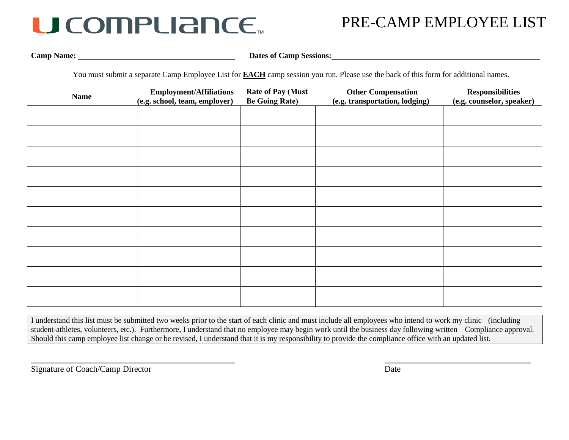## U COMPLIANCE.

### PRE-CAMP EMPLOYEE LIST

**Camp Name: Dates of Camp Sessions: Dates of Camp Sessions: Dates of Camp Sessions:** 

You must submit a separate Camp Employee List for **EACH** camp session you run. Please use the back of this form for additional names.

| <b>Name</b> | <b>Employment/Affiliations</b><br>(e.g. school, team, employer) | <b>Rate of Pay (Must</b><br><b>Be Going Rate)</b> | <b>Other Compensation</b><br>(e.g. transportation, lodging) | <b>Responsibilities</b><br>(e.g. counselor, speaker) |
|-------------|-----------------------------------------------------------------|---------------------------------------------------|-------------------------------------------------------------|------------------------------------------------------|
|             |                                                                 |                                                   |                                                             |                                                      |
|             |                                                                 |                                                   |                                                             |                                                      |
|             |                                                                 |                                                   |                                                             |                                                      |
|             |                                                                 |                                                   |                                                             |                                                      |
|             |                                                                 |                                                   |                                                             |                                                      |
|             |                                                                 |                                                   |                                                             |                                                      |
|             |                                                                 |                                                   |                                                             |                                                      |
|             |                                                                 |                                                   |                                                             |                                                      |
|             |                                                                 |                                                   |                                                             |                                                      |
|             |                                                                 |                                                   |                                                             |                                                      |

I understand this list must be submitted two weeks prior to the start of each clinic and must include all employees who intend to work my clinic (including student-athletes, volunteers, etc.). Furthermore, I understand that no employee may begin work until the business day following written Compliance approval. Should this camp employee list change or be revised, I understand that it is my responsibility to provide the compliance office with an updated list.

Signature of Coach/Camp Director Date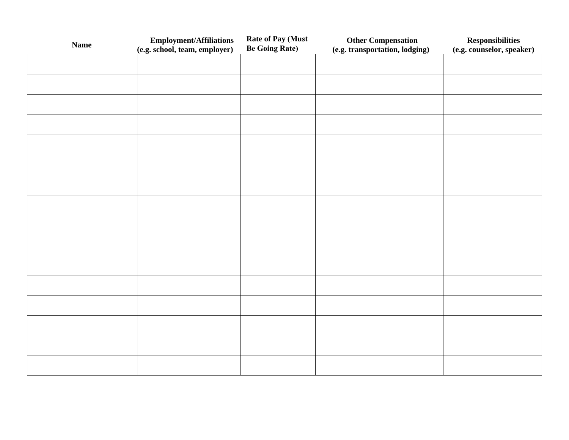| <b>Name</b> | <b>Employment/Affiliations</b> | <b>Rate of Pay (Must</b> | <b>Other Compensation</b>      | <b>Responsibilities</b>   |
|-------------|--------------------------------|--------------------------|--------------------------------|---------------------------|
|             | (e.g. school, team, employer)  | <b>Be Going Rate)</b>    | (e.g. transportation, lodging) | (e.g. counselor, speaker) |
|             |                                |                          |                                |                           |
|             |                                |                          |                                |                           |
|             |                                |                          |                                |                           |
|             |                                |                          |                                |                           |
|             |                                |                          |                                |                           |
|             |                                |                          |                                |                           |
|             |                                |                          |                                |                           |
|             |                                |                          |                                |                           |
|             |                                |                          |                                |                           |
|             |                                |                          |                                |                           |
|             |                                |                          |                                |                           |
|             |                                |                          |                                |                           |
|             |                                |                          |                                |                           |
|             |                                |                          |                                |                           |
|             |                                |                          |                                |                           |
|             |                                |                          |                                |                           |
|             |                                |                          |                                |                           |
|             |                                |                          |                                |                           |
|             |                                |                          |                                |                           |
|             |                                |                          |                                |                           |
|             |                                |                          |                                |                           |
|             |                                |                          |                                |                           |
|             |                                |                          |                                |                           |
|             |                                |                          |                                |                           |
|             |                                |                          |                                |                           |
|             |                                |                          |                                |                           |
|             |                                |                          |                                |                           |
|             |                                |                          |                                |                           |
|             |                                |                          |                                |                           |
|             |                                |                          |                                |                           |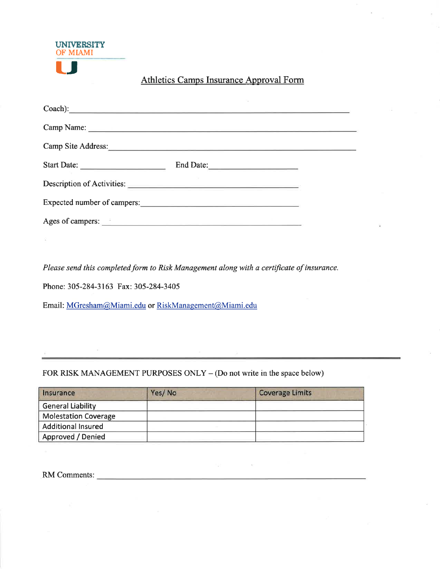| <b>UNIVERSITY</b><br><b>OF MIAMI</b> |  |
|--------------------------------------|--|
|                                      |  |

### Athletics Camps Insurance Approval Form

|                             | $\text{Coach}:$ |
|-----------------------------|-----------------|
|                             |                 |
| Camp Site Address:          |                 |
|                             | End Date:       |
| Description of Activities:  |                 |
| Expected number of campers: |                 |
| Ages of campers:            |                 |

Please send this completed form to Risk Management along with a certificate of insurance.

Phone: 305-284-3163 Fax: 305-284-3405

Email: MGresham@Miami.edu or RiskManagement@Miami.edu

FOR RISK MANAGEMENT PURPOSES ONLY – (Do not write in the space below)

| Insurance                   | Yes/No | <b>Coverage Limits</b> |
|-----------------------------|--------|------------------------|
| <b>General Liability</b>    |        |                        |
| <b>Molestation Coverage</b> |        |                        |
| <b>Additional Insured</b>   |        |                        |
| Approved / Denied           |        |                        |

 $\mathcal{N}_{\text{eff}}$  , and the set of the  $\mathcal{N}_{\text{eff}}$ 

RM Comments: